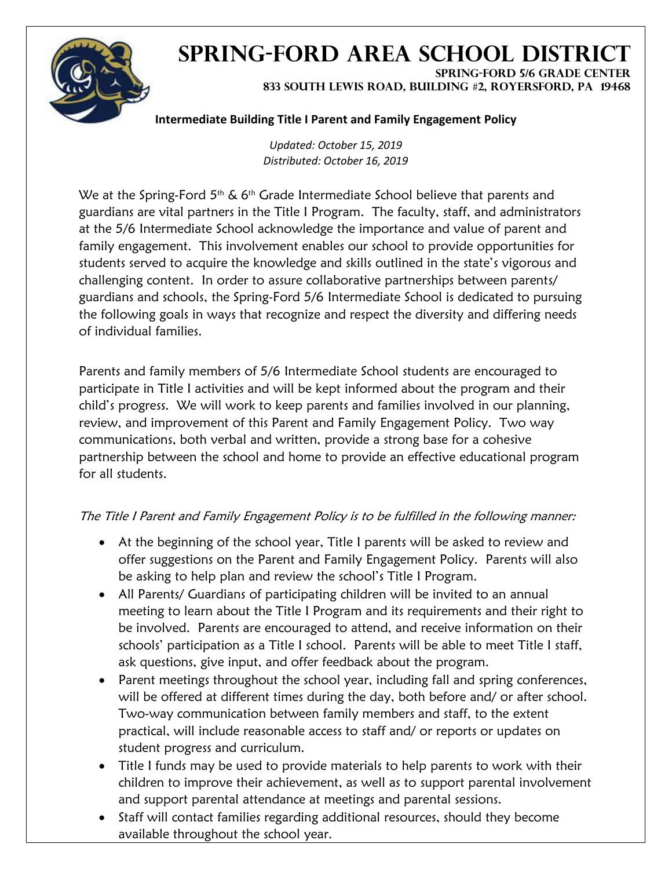

## **SPRING-FORD AREA SCHOOL DISTRICT SPRING-FORD 5/6 GRADE CENTER**

**833 SOUTH LEWIS ROAD, BUILDING #2, ROYERSFORD, PA 19468**

## **Intermediate Building Title I Parent and Family Engagement Policy**

*Updated: October 15, 2019 Distributed: October 16, 2019*

We at the Spring-Ford  $5<sup>th</sup>$  & 6<sup>th</sup> Grade Intermediate School believe that parents and guardians are vital partners in the Title I Program. The faculty, staff, and administrators at the 5/6 Intermediate School acknowledge the importance and value of parent and family engagement. This involvement enables our school to provide opportunities for students served to acquire the knowledge and skills outlined in the state's vigorous and challenging content. In order to assure collaborative partnerships between parents/ guardians and schools, the Spring-Ford 5/6 Intermediate School is dedicated to pursuing the following goals in ways that recognize and respect the diversity and differing needs of individual families.

Parents and family members of 5/6 Intermediate School students are encouraged to participate in Title I activities and will be kept informed about the program and their child's progress. We will work to keep parents and families involved in our planning, review, and improvement of this Parent and Family Engagement Policy. Two way communications, both verbal and written, provide a strong base for a cohesive partnership between the school and home to provide an effective educational program for all students.

## The Title I Parent and Family Engagement Policy is to be fulfilled in the following manner:

- At the beginning of the school year, Title I parents will be asked to review and offer suggestions on the Parent and Family Engagement Policy. Parents will also be asking to help plan and review the school's Title I Program.
- All Parents/ Guardians of participating children will be invited to an annual meeting to learn about the Title I Program and its requirements and their right to be involved. Parents are encouraged to attend, and receive information on their schools' participation as a Title I school. Parents will be able to meet Title I staff, ask questions, give input, and offer feedback about the program.
- Parent meetings throughout the school year, including fall and spring conferences, will be offered at different times during the day, both before and/ or after school. Two-way communication between family members and staff, to the extent practical, will include reasonable access to staff and/ or reports or updates on student progress and curriculum.
- Title I funds may be used to provide materials to help parents to work with their children to improve their achievement, as well as to support parental involvement and support parental attendance at meetings and parental sessions.
- Staff will contact families regarding additional resources, should they become available throughout the school year.